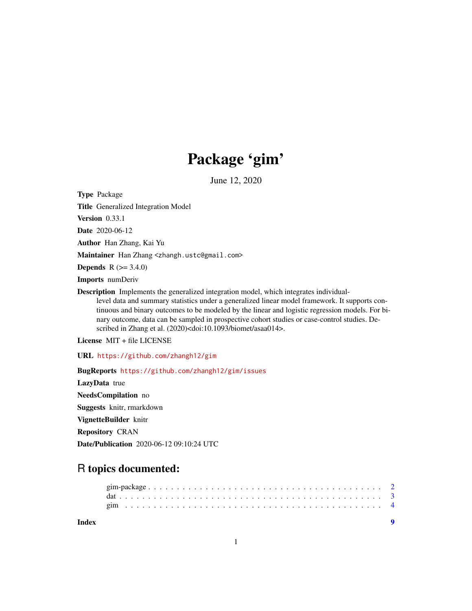## Package 'gim'

June 12, 2020

<span id="page-0-0"></span>Type Package

Title Generalized Integration Model

Version 0.33.1

Date 2020-06-12

Author Han Zhang, Kai Yu

Maintainer Han Zhang <zhangh.ustc@gmail.com>

**Depends** R  $(>= 3.4.0)$ 

Imports numDeriv

Description Implements the generalized integration model, which integrates individuallevel data and summary statistics under a generalized linear model framework. It supports con-

tinuous and binary outcomes to be modeled by the linear and logistic regression models. For binary outcome, data can be sampled in prospective cohort studies or case-control studies. Described in Zhang et al. (2020)<doi:10.1093/biomet/asaa014>.

License MIT + file LICENSE

URL <https://github.com/zhangh12/gim>

BugReports <https://github.com/zhangh12/gim/issues>

LazyData true NeedsCompilation no

Suggests knitr, rmarkdown

VignetteBuilder knitr

Repository CRAN

Date/Publication 2020-06-12 09:10:24 UTC

### R topics documented:

| Index |  |  |  |  |  |  |  |  |  |  |  |  |  |  |  |  |  |  |
|-------|--|--|--|--|--|--|--|--|--|--|--|--|--|--|--|--|--|--|
|       |  |  |  |  |  |  |  |  |  |  |  |  |  |  |  |  |  |  |
|       |  |  |  |  |  |  |  |  |  |  |  |  |  |  |  |  |  |  |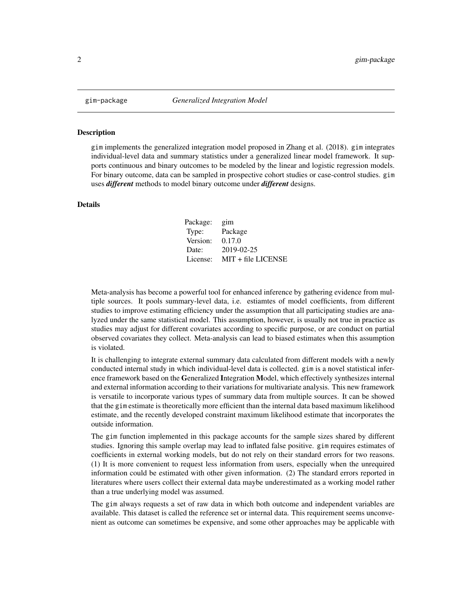<span id="page-1-0"></span>

#### Description

gim implements the generalized integration model proposed in Zhang et al. (2018). gim integrates individual-level data and summary statistics under a generalized linear model framework. It supports continuous and binary outcomes to be modeled by the linear and logistic regression models. For binary outcome, data can be sampled in prospective cohort studies or case-control studies. gim uses *different* methods to model binary outcome under *different* designs.

#### Details

| Package: | gim                  |
|----------|----------------------|
| Type:    | Package              |
| Version: | 0.17.0               |
| Date:    | 2019-02-25           |
| License: | $MIT + file LICENSE$ |

Meta-analysis has become a powerful tool for enhanced inference by gathering evidence from multiple sources. It pools summary-level data, i.e. estiamtes of model coefficients, from different studies to improve estimating efficiency under the assumption that all participating studies are analyzed under the same statistical model. This assumption, however, is usually not true in practice as studies may adjust for different covariates according to specific purpose, or are conduct on partial observed covariates they collect. Meta-analysis can lead to biased estimates when this assumption is violated.

It is challenging to integrate external summary data calculated from different models with a newly conducted internal study in which individual-level data is collected. gim is a novel statistical inference framework based on the Generalized Integration Model, which effectively synthesizes internal and external information according to their variations for multivariate analysis. This new framework is versatile to incorporate various types of summary data from multiple sources. It can be showed that the gim estimate is theoretically more efficient than the internal data based maximum likelihood estimate, and the recently developed constraint maximum likelihood estimate that incorporates the outside information.

The gim function implemented in this package accounts for the sample sizes shared by different studies. Ignoring this sample overlap may lead to inflated false positive. gim requires estimates of coefficients in external working models, but do not rely on their standard errors for two reasons. (1) It is more convenient to request less information from users, especially when the unrequired information could be estimated with other given information. (2) The standard errors reported in literatures where users collect their external data maybe underestimated as a working model rather than a true underlying model was assumed.

The gim always requests a set of raw data in which both outcome and independent variables are available. This dataset is called the reference set or internal data. This requirement seems unconvenient as outcome can sometimes be expensive, and some other approaches may be applicable with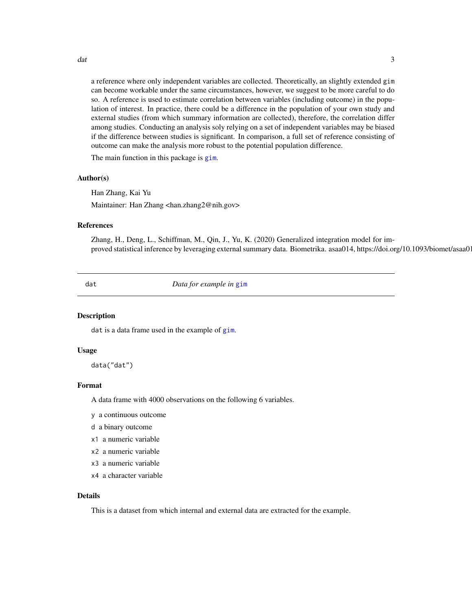<span id="page-2-0"></span>dat 3 and 3 and 3 and 3 and 3 and 3 and 3 and 3 and 3 and 3 and 3 and 3 and 3 and 3 and 3 and 3 and 3 and 3 and 3 and 3 and 3 and 3 and 3 and 3 and 3 and 3 and 3 and 3 and 3 and 3 and 3 and 3 and 3 and 3 and 3 and 3 and 3

a reference where only independent variables are collected. Theoretically, an slightly extended gim can become workable under the same circumstances, however, we suggest to be more careful to do so. A reference is used to estimate correlation between variables (including outcome) in the population of interest. In practice, there could be a difference in the population of your own study and external studies (from which summary information are collected), therefore, the correlation differ among studies. Conducting an analysis soly relying on a set of independent variables may be biased if the difference between studies is significant. In comparison, a full set of reference consisting of outcome can make the analysis more robust to the potential population difference.

The main function in this package is [gim](#page-3-1).

#### Author(s)

Han Zhang, Kai Yu Maintainer: Han Zhang <han.zhang2@nih.gov>

#### References

Zhang, H., Deng, L., Schiffman, M., Qin, J., Yu, K. (2020) Generalized integration model for improved statistical inference by leveraging external summary data. Biometrika. asaa014, https://doi.org/10.1093/biomet/asaa014

dat *Data for example in* [gim](#page-3-1)

#### **Description**

dat is a data frame used in the example of [gim](#page-3-1).

#### Usage

data("dat")

#### Format

A data frame with 4000 observations on the following 6 variables.

- y a continuous outcome
- d a binary outcome
- x1 a numeric variable
- x2 a numeric variable
- x3 a numeric variable
- x4 a character variable

#### Details

This is a dataset from which internal and external data are extracted for the example.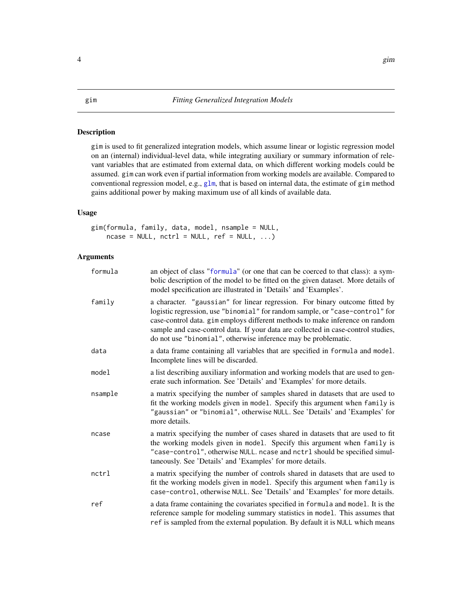#### Description

gim is used to fit generalized integration models, which assume linear or logistic regression model on an (internal) individual-level data, while integrating auxiliary or summary information of relevant variables that are estimated from external data, on which different working models could be assumed. gim can work even if partial information from working models are available. Compared to conventional regression model, e.g.,  $g\ln$ , that is based on internal data, the estimate of  $gim$  method gains additional power by making maximum use of all kinds of available data.

#### Usage

gim(formula, family, data, model, nsample = NULL,  $ncase = NULL, nctrl = NULL, ref = NULL, ...$ 

#### Arguments

| formula | an object of class "formula" (or one that can be coerced to that class): a sym-<br>bolic description of the model to be fitted on the given dataset. More details of<br>model specification are illustrated in 'Details' and 'Examples'.                                                                                                                                                           |
|---------|----------------------------------------------------------------------------------------------------------------------------------------------------------------------------------------------------------------------------------------------------------------------------------------------------------------------------------------------------------------------------------------------------|
| family  | a character. "gaussian" for linear regression. For binary outcome fitted by<br>logistic regression, use "binomial" for random sample, or "case-control" for<br>case-control data. gim employs different methods to make inference on random<br>sample and case-control data. If your data are collected in case-control studies,<br>do not use "binomial", otherwise inference may be problematic. |
| data    | a data frame containing all variables that are specified in formula and model.<br>Incomplete lines will be discarded.                                                                                                                                                                                                                                                                              |
| model   | a list describing auxiliary information and working models that are used to gen-<br>erate such information. See 'Details' and 'Examples' for more details.                                                                                                                                                                                                                                         |
| nsample | a matrix specifying the number of samples shared in datasets that are used to<br>fit the working models given in model. Specify this argument when family is<br>"gaussian" or "binomial", otherwise NULL. See 'Details' and 'Examples' for<br>more details.                                                                                                                                        |
| ncase   | a matrix specifying the number of cases shared in datasets that are used to fit<br>the working models given in model. Specify this argument when family is<br>"case-control", otherwise NULL. ncase and nctrl should be specified simul-<br>taneously. See 'Details' and 'Examples' for more details.                                                                                              |
| nctrl   | a matrix specifying the number of controls shared in datasets that are used to<br>fit the working models given in model. Specify this argument when family is<br>case-control, otherwise NULL. See 'Details' and 'Examples' for more details.                                                                                                                                                      |
| ref     | a data frame containing the covariates specified in formula and model. It is the<br>reference sample for modeling summary statistics in model. This assumes that<br>ref is sampled from the external population. By default it is NULL which means                                                                                                                                                 |

#### <span id="page-3-1"></span><span id="page-3-0"></span>4 gim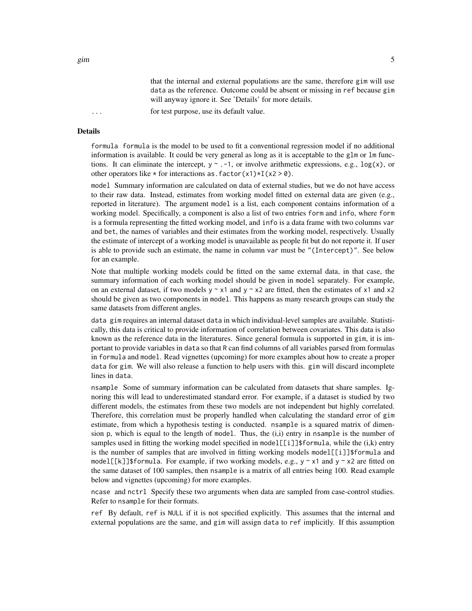that the internal and external populations are the same, therefore gim will use data as the reference. Outcome could be absent or missing in ref because gim will anyway ignore it. See 'Details' for more details.

... for test purpose, use its default value.

#### Details

formula formula is the model to be used to fit a conventional regression model if no additional information is available. It could be very general as long as it is acceptable to the glm or lm functions. It can eliminate the intercept,  $y \sim -1$ , or involve arithmetic expressions, e.g.,  $\log(x)$ , or other operators like  $*$  for interactions as. factor(x1) $*I(x2 > 0)$ .

model Summary information are calculated on data of external studies, but we do not have access to their raw data. Instead, estimates from working model fitted on external data are given (e.g., reported in literature). The argument model is a list, each component contains information of a working model. Specifically, a component is also a list of two entries form and info, where form is a formula representing the fitted working model, and info is a data frame with two columns var and bet, the names of variables and their estimates from the working model, respectively. Usually the estimate of intercept of a working model is unavailable as people fit but do not reporte it. If user is able to provide such an estimate, the name in column var must be "(Intercept)". See below for an example.

Note that multiple working models could be fitted on the same external data, in that case, the summary information of each working model should be given in model separately. For example, on an external dataset, if two models  $y \sim x1$  and  $y \sim x2$  are fitted, then the estimates of x1 and x2 should be given as two components in model. This happens as many research groups can study the same datasets from different angles.

data gim requires an internal dataset data in which individual-level samples are available. Statistically, this data is critical to provide information of correlation between covariates. This data is also known as the reference data in the literatures. Since general formula is supported in gim, it is important to provide variables in data so that R can find columns of all variables parsed from formulas in formula and model. Read vignettes (upcoming) for more examples about how to create a proper data for gim. We will also release a function to help users with this. gim will discard incomplete lines in data.

nsample Some of summary information can be calculated from datasets that share samples. Ignoring this will lead to underestimated standard error. For example, if a dataset is studied by two different models, the estimates from these two models are not independent but highly correlated. Therefore, this correlation must be properly handled when calculating the standard error of gim estimate, from which a hypothesis testing is conducted. nsample is a squared matrix of dimension p, which is equal to the length of model. Thus, the  $(i,i)$  entry in nsample is the number of samples used in fitting the working model specified in model[[i]]\$formula, while the  $(i,k)$  entry is the number of samples that are involved in fitting working models model[[i]]\$formula and model[[k]]\$formula. For example, if two working models, e.g.,  $y \sim x1$  and  $y \sim x2$  are fitted on the same dataset of 100 samples, then nsample is a matrix of all entries being 100. Read example below and vignettes (upcoming) for more examples.

ncase and nctrl Specify these two arguments when data are sampled from case-control studies. Refer to nsample for their formats.

ref By default, ref is NULL if it is not specified explicitly. This assumes that the internal and external populations are the same, and gim will assign data to ref implicitly. If this assumption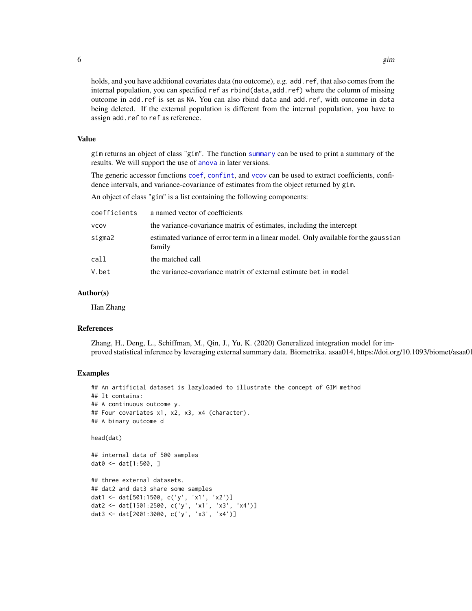holds, and you have additional covariates data (no outcome), e.g. add.ref, that also comes from the internal population, you can specified ref as rbind(data,add.ref) where the column of missing outcome in add.ref is set as NA. You can also rbind data and add.ref, with outcome in data being deleted. If the external population is different from the internal population, you have to assign add.ref to ref as reference.

#### Value

gim returns an object of class "gim". The function [summary](#page-0-0) can be used to print a summary of the results. We will support the use of [anova](#page-0-0) in later versions.

The generic accessor functions [coef](#page-0-0), [confint](#page-0-0), and [vcov](#page-0-0) can be used to extract coefficients, confidence intervals, and variance-covariance of estimates from the object returned by gim.

An object of class "gim" is a list containing the following components:

| coefficients | a named vector of coefficients                                                                |
|--------------|-----------------------------------------------------------------------------------------------|
| VCOV         | the variance-covariance matrix of estimates, including the intercept                          |
| sigma2       | estimated variance of error term in a linear model. Only available for the gaussian<br>family |
| call         | the matched call                                                                              |
| V.bet        | the variance-covariance matrix of external estimate bet in model                              |
|              |                                                                                               |

#### Author(s)

Han Zhang

#### References

Zhang, H., Deng, L., Schiffman, M., Qin, J., Yu, K. (2020) Generalized integration model for improved statistical inference by leveraging external summary data. Biometrika. asaa014, https://doi.org/10.1093/biomet/asaa014

#### Examples

```
## An artificial dataset is lazyloaded to illustrate the concept of GIM method
## It contains:
## A continuous outcome y.
## Four covariates x1, x2, x3, x4 (character).
## A binary outcome d
head(dat)
```

```
## internal data of 500 samples
dat0 <- dat[1:500, ]
```

```
## three external datasets.
## dat2 and dat3 share some samples
dat1 <- dat[501:1500, c('y', 'x1', 'x2')]
dat2 <- dat[1501:2500, c('y', 'x1', 'x3', 'x4')]
dat3 <- dat[2001:3000, c('y', 'x3', 'x4')]
```
<span id="page-5-0"></span>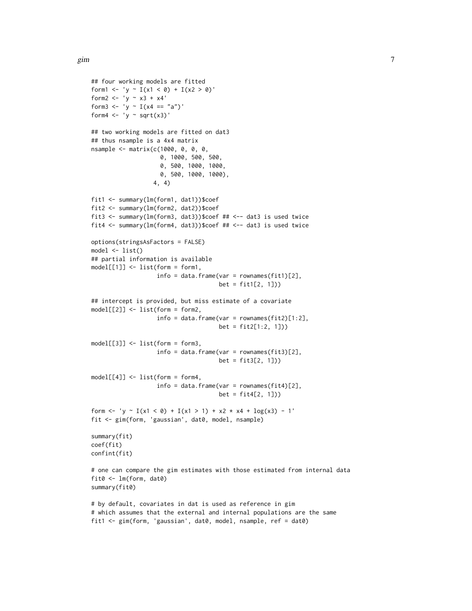```
## four working models are fitted
form1 <- 'y ~ I(x1 < 0) + I(x2 > 0)'form2 <- 'y ~ x3 + x4'form3 <- 'y ~ I(x4 == "a")'
form4 \leftarrow 'y \sim sqrt(x3)'
## two working models are fitted on dat3
## thus nsample is a 4x4 matrix
nsample <- matrix(c(1000, 0, 0, 0,
                    0, 1000, 500, 500,
                    0, 500, 1000, 1000,
                    0, 500, 1000, 1000),
                  4, 4)
fit1 <- summary(lm(form1, dat1))$coef
fit2 <- summary(lm(form2, dat2))$coef
fit3 <- summary(lm(form3, dat3))$coef ## <-- dat3 is used twice
fit4 <- summary(lm(form4, dat3))$coef ## <-- dat3 is used twice
options(stringsAsFactors = FALSE)
model <- list()
## partial information is available
model[[1]] <- list(form = form1,
                   info = data.frame(var = rownames(fit1)[2],bet = fit1[2, 1])## intercept is provided, but miss estimate of a covariate
model[[2]] <- list(form = form2,
                   info = data.frame(var = rownames(fit2)[1:2],
                                      bet = fit2[1:2, 1])model[[3]] <- list(form = form3,
                   info = data.frame(var = rownames(fits)[2],bet = fit3[2, 1])model[[4]] <- list(form = form4,
                   info = data.frame(var = rownames(fit4)[2],bet = fit4[2, 1])form <- 'y ~ I(x1 < 0) + I(x1 > 1) + x2 + x4 + log(x3) - 1'fit <- gim(form, 'gaussian', dat0, model, nsample)
summary(fit)
coef(fit)
confint(fit)
# one can compare the gim estimates with those estimated from internal data
fit0 \leq \text{Im}(\text{form}, \text{dat0})summary(fit0)
# by default, covariates in dat is used as reference in gim
```

```
# which assumes that the external and internal populations are the same
fit1 <- gim(form, 'gaussian', dat0, model, nsample, ref = dat0)
```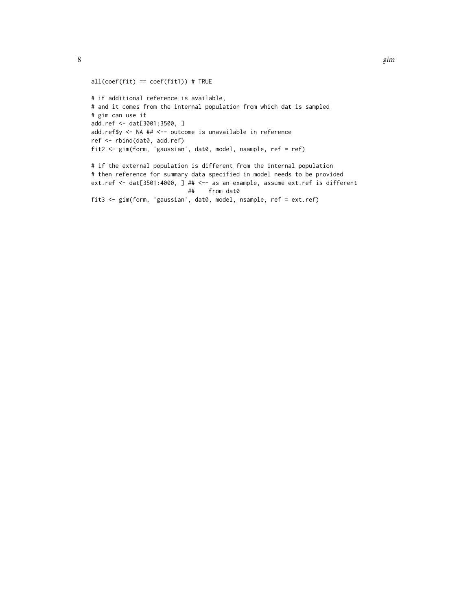```
all(coef(fit) == \text{coef}(\text{fit1})) # TRUE
# if additional reference is available,
# and it comes from the internal population from which dat is sampled
# gim can use it
add.ref <- dat[3001:3500, ]
add.ref$y <- NA ## <-- outcome is unavailable in reference
ref <- rbind(dat0, add.ref)
fit2 <- gim(form, 'gaussian', dat0, model, nsample, ref = ref)
# if the external population is different from the internal population
# then reference for summary data specified in model needs to be provided
ext.ref <- dat[3501:4000, ] ## <-- as an example, assume ext.ref is different
                            ## from dat0
fit3 <- gim(form, 'gaussian', dat0, model, nsample, ref = ext.ref)
```